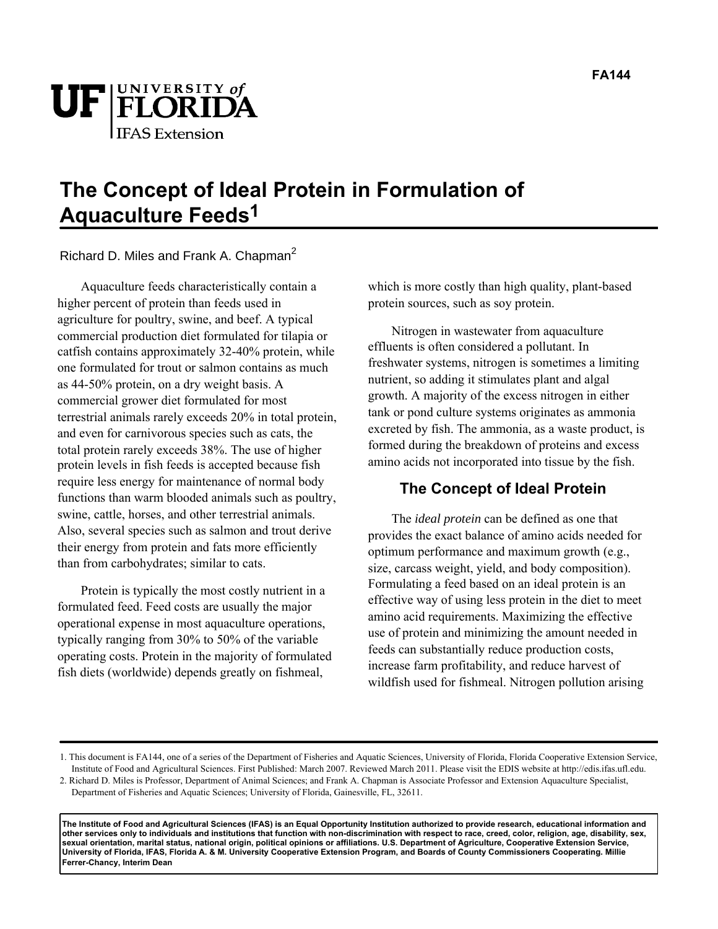

# **The Concept of Ideal Protein in Formulation of Aquaculture Feeds1**

Richard D. Miles and Frank A. Chapman<sup>2</sup>

Aquaculture feeds characteristically contain a higher percent of protein than feeds used in agriculture for poultry, swine, and beef. A typical commercial production diet formulated for tilapia or catfish contains approximately 32-40% protein, while one formulated for trout or salmon contains as much as 44-50% protein, on a dry weight basis. A commercial grower diet formulated for most terrestrial animals rarely exceeds 20% in total protein, and even for carnivorous species such as cats, the total protein rarely exceeds 38%. The use of higher protein levels in fish feeds is accepted because fish require less energy for maintenance of normal body functions than warm blooded animals such as poultry, swine, cattle, horses, and other terrestrial animals. Also, several species such as salmon and trout derive their energy from protein and fats more efficiently than from carbohydrates; similar to cats.

Protein is typically the most costly nutrient in a formulated feed. Feed costs are usually the major operational expense in most aquaculture operations, typically ranging from 30% to 50% of the variable operating costs. Protein in the majority of formulated fish diets (worldwide) depends greatly on fishmeal,

which is more costly than high quality, plant-based protein sources, such as soy protein.

Nitrogen in wastewater from aquaculture effluents is often considered a pollutant. In freshwater systems, nitrogen is sometimes a limiting nutrient, so adding it stimulates plant and algal growth. A majority of the excess nitrogen in either tank or pond culture systems originates as ammonia excreted by fish. The ammonia, as a waste product, is formed during the breakdown of proteins and excess amino acids not incorporated into tissue by the fish.

## **The Concept of Ideal Protein**

The *ideal protein* can be defined as one that provides the exact balance of amino acids needed for optimum performance and maximum growth (e.g., size, carcass weight, yield, and body composition). Formulating a feed based on an ideal protein is an effective way of using less protein in the diet to meet amino acid requirements. Maximizing the effective use of protein and minimizing the amount needed in feeds can substantially reduce production costs, increase farm profitability, and reduce harvest of wildfish used for fishmeal. Nitrogen pollution arising

**The Institute of Food and Agricultural Sciences (IFAS) is an Equal Opportunity Institution authorized to provide research, educational information and other services only to individuals and institutions that function with non-discrimination with respect to race, creed, color, religion, age, disability, sex, sexual orientation, marital status, national origin, political opinions or affiliations. U.S. Department of Agriculture, Cooperative Extension Service, University of Florida, IFAS, Florida A. & M. University Cooperative Extension Program, and Boards of County Commissioners Cooperating. Millie Ferrer-Chancy, Interim Dean** 

<sup>1.</sup> This document is FA144, one of a series of the Department of Fisheries and Aquatic Sciences, University of Florida, Florida Cooperative Extension Service, Institute of Food and Agricultural Sciences. First Published: March 2007. Reviewed March 2011. Please visit the EDIS website at http://edis.ifas.ufl.edu.

<sup>2.</sup> Richard D. Miles is Professor, Department of Animal Sciences; and Frank A. Chapman is Associate Professor and Extension Aquaculture Specialist, Department of Fisheries and Aquatic Sciences; University of Florida, Gainesville, FL, 32611.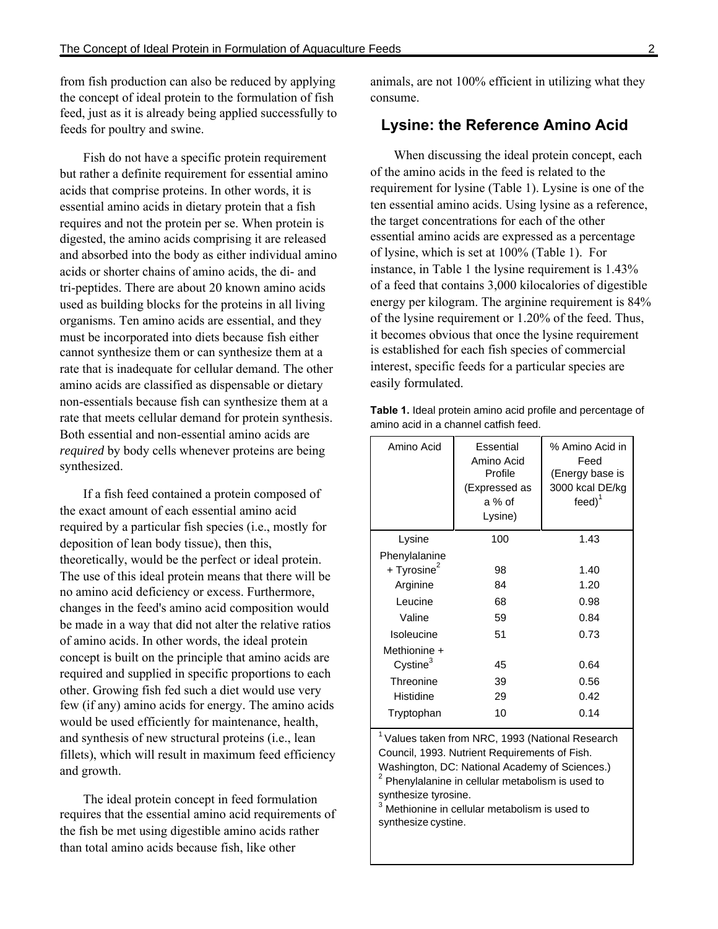from fish production can also be reduced by applying the concept of ideal protein to the formulation of fish feed, just as it is already being applied successfully to feeds for poultry and swine.

Fish do not have a specific protein requirement but rather a definite requirement for essential amino acids that comprise proteins. In other words, it is essential amino acids in dietary protein that a fish requires and not the protein per se. When protein is digested, the amino acids comprising it are released and absorbed into the body as either individual amino acids or shorter chains of amino acids, the di- and tri-peptides. There are about 20 known amino acids used as building blocks for the proteins in all living organisms. Ten amino acids are essential, and they must be incorporated into diets because fish either cannot synthesize them or can synthesize them at a rate that is inadequate for cellular demand. The other amino acids are classified as dispensable or dietary non-essentials because fish can synthesize them at a rate that meets cellular demand for protein synthesis. Both essential and non-essential amino acids are *required* by body cells whenever proteins are being synthesized.

If a fish feed contained a protein composed of the exact amount of each essential amino acid required by a particular fish species (i.e., mostly for deposition of lean body tissue), then this, theoretically, would be the perfect or ideal protein. The use of this ideal protein means that there will be no amino acid deficiency or excess. Furthermore, changes in the feed's amino acid composition would be made in a way that did not alter the relative ratios of amino acids. In other words, the ideal protein concept is built on the principle that amino acids are required and supplied in specific proportions to each other. Growing fish fed such a diet would use very few (if any) amino acids for energy. The amino acids would be used efficiently for maintenance, health, and synthesis of new structural proteins (i.e., lean fillets), which will result in maximum feed efficiency and growth.

The ideal protein concept in feed formulation requires that the essential amino acid requirements of the fish be met using digestible amino acids rather than total amino acids because fish, like other

animals, are not 100% efficient in utilizing what they consume.

### **Lysine: the Reference Amino Acid**

When discussing the ideal protein concept, each of the amino acids in the feed is related to the requirement for lysine (Table 1). Lysine is one of the ten essential amino acids. Using lysine as a reference, the target concentrations for each of the other essential amino acids are expressed as a percentage of lysine, which is set at 100% (Table 1). For instance, in Table 1 the lysine requirement is 1.43% of a feed that contains 3,000 kilocalories of digestible energy per kilogram. The arginine requirement is 84% of the lysine requirement or 1.20% of the feed. Thus, it becomes obvious that once the lysine requirement is established for each fish species of commercial interest, specific feeds for a particular species are easily formulated.

| Amino Acid              | Essential<br>Amino Acid<br>Profile<br>(Expressed as<br>a % of<br>Lysine) | % Amino Acid in<br>Feed<br>(Energy base is<br>3000 kcal DE/kg<br>$feed$ <sup>1</sup> |
|-------------------------|--------------------------------------------------------------------------|--------------------------------------------------------------------------------------|
| Lysine                  | 100                                                                      | 1.43                                                                                 |
| Phenylalanine           |                                                                          |                                                                                      |
| + Tyrosine <sup>2</sup> | 98                                                                       | 1.40                                                                                 |
| Arginine                | 84                                                                       | 1.20                                                                                 |
| Leucine                 | 68                                                                       | 0.98                                                                                 |
| Valine                  | 59                                                                       | 0.84                                                                                 |
| Isoleucine              | 51                                                                       | 0.73                                                                                 |
| Methionine +            |                                                                          |                                                                                      |
| Cystine <sup>3</sup>    | 45                                                                       | 0.64                                                                                 |
| Threonine               | 39                                                                       | 0.56                                                                                 |
| Histidine               | 29                                                                       | 0.42                                                                                 |
| Tryptophan              | 10                                                                       | 0.14                                                                                 |
|                         |                                                                          |                                                                                      |

**Table 1.** Ideal protein amino acid profile and percentage of amino acid in a channel catfish feed.

 $1$ Values taken from NRC, 1993 (National Research Council, 1993. Nutrient Requirements of Fish. Washington, DC: National Academy of Sciences.)

 $2$  Phenylalanine in cellular metabolism is used to synthesize tyrosine. 3

 Methionine in cellular metabolism is used to synthesize cystine.